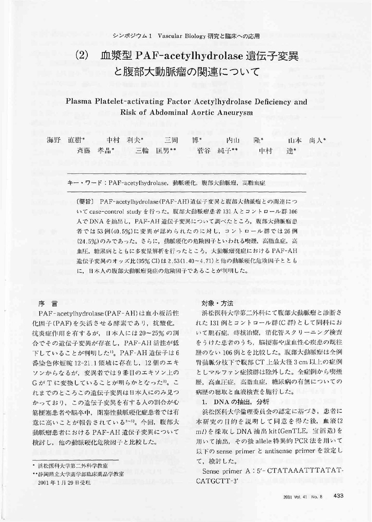# $(2)$ 血漿型 PAF-acetylhydrolase 遺伝子変異 と腹部大動脈瘤の関連について

# Plasma Platelet-activating Factor Acetylhydrolase Deficiency and Risk of Abdominal Aortic Aneurysm

| 海野 直樹* |        | 中村 利夫* | 三岡 博*   | 内山 降*   |       | 山本 尚人* |
|--------|--------|--------|---------|---------|-------|--------|
|        | 斉藤 孝晶* |        | 三輪 匡男** | 菅谷 純子** | 中村 達* |        |

キー・ワード: PAF-acetvlhvdrolase, 動脈硬化, 腹部大動脈瘤, 高脂血症

[要旨] PAF-acetylhydrolase (PAF-AH) 遺伝子変異と腹部大動脈瘤との関連につ いて case-control study を行った。腹部大動脈瘤患者 131 人とコントロール群 106 人でDNAを抽出し、PAF-AH 遺伝子変異について調べたところ、腹部大動脈瘤患 者では53例(40.5%)に変異が認められたのに対し、コントロール群では26例 (24.5%)のみであった。さらに、動脈硬化の危険因子といわれる喫煙、高脂血症、高 血圧、糖尿病とともに多変量解析を行ったところ、大動脈瘤発症における PAF-AH 遺伝子変異のオッズ比(95% CI)は2.53(1.40~4.71)と他の動脈硬化危険因子ととも に、日本人の腹部大動脈瘤発症の危険因子であることが判明した。

序言

PAF-acetylhydrolase (PAF-AH)は血小板活性 化因子(PAF)を失活させる酵素であり、抗酸化, 抗炎症作用を有するが、日本人には20~25%の割 合でその遺伝子変異が存在し、PAF-AH 活性が低 下していることが判明した1)。PAF-AH 遺伝子は6 番染色体短腕 12-21.1 領域に存在し、12個のエキ ソンからなるが、変異者では9番目のエキソン上の GがTに変換していることが明らかとなった2)。こ れまでのところこの遺伝子変異は日本人にのみ見つ かっており、この遺伝子変異を有する人の割合が心 筋梗塞患者や脳卒中、閉塞性動脈硬化症患者では有 意に高いことが報告されている3~5)。今回、腹部大 動脈瘤患者における PAF-AH 遺伝子変異について 検討し、他の動脈硬化危険因子と比較した。

• 浜松医科大学第二外科学教室

\*\*静岡県立大学薬学部臨床薬品学教室 2001年1月29日受理

#### 対象·方法

浜松医科大学第二外科にて腹部大動脈瘤と診断さ れた 131 例とコントロール群(C群)として同科にお いて胆石症、痔核治療、消化管スクリーニング検査 をうけた患者のうち、脳梗塞や虚血性心疾患の既往 歴のない106例とを比較した。腹部大動脈瘤は全例 腎動脈分枝下で腹部 CT 上最大径 3 cm 以上の症例 としマルファン症候群は除外した。全症例から喫煙 歴、高血圧症、高脂血症、糖尿病の有無についての 病歴の聴取と血液検査を施行した。

1. DNA の抽出, 分析

浜松医科大学倫理委員会の認定に基づき、患者に 本研究の目的を説明して同意を得た後、血液(2 ml) を採取しDNA 抽出 kit(GenTLE, 宝酒造)を 用いて抽出、その後 allele 特異的 PCR 法を用いて 以下の sense primer と antisense primer を設定し て、検討した。

Sense primer A: 5'-CTATAAATTTATAT-CATGCTT-3'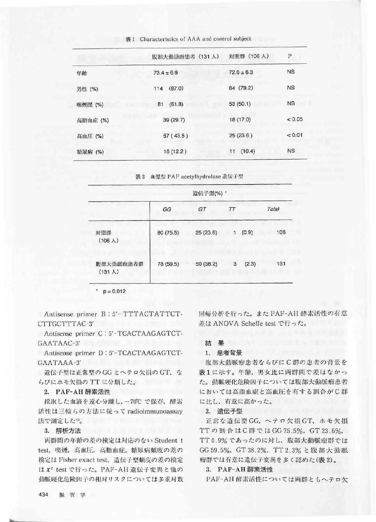|          | 腹部大動脈瘤患者 (131人) | 対照群 (106人)     | Ρ         |
|----------|-----------------|----------------|-----------|
| 年齢       | $73.4 \pm 6.9$  | $72.8 \pm 6.3$ | <b>NS</b> |
| 男性 (%)   | (87.0)<br>114   | 84 (79.2)      | <b>NS</b> |
| 喫煙歴 (%)  | 81<br>(61.8)    | 53(50.1)       | <b>NS</b> |
| 高脂血症 (%) | 39 (29.7)       | 18(17.0)       | < 0.05    |
| 高血圧 (%)  | 57(43.5)        | 25(23.6)       | < 0.01    |
| 糖尿病 (%)  | 16(12.2)        | 11(10.4)       | <b>NS</b> |

表 1 Characteristics of AAA and control subject

表 2 血浆型 PAF acetylhydrolase 遺伝子型

|                              | 遺伝子型(%) * |           |                       |       |
|------------------------------|-----------|-----------|-----------------------|-------|
|                              | GG        | GT        | $\tau\tau$            | Total |
| 対照群<br>$(106 \lambda)$       | 80 (75.5) | 25(23.6)  | (0.9)<br>$\mathbf{1}$ | 106   |
| 腹部大動脈瘤患者群<br>$(131 \lambda)$ | 78 (59.5) | 50 (38.2) | (2.3)<br>3            | 131   |

 $p = 0.012$ 

Antisense primer B: 5'- TTTACTATTCT-CTTGCTTTAC-3'

Antisense primer C: 5'-TCACTAAGAGTCT-GAATAAC-3'

Antisense primer D: 5'-TCACTAAGAGTCT-GAATAAA-3'

遺伝子型は正常型の GG とヘテロ欠損の GT, な らびにホモ欠損の TT に分類した。

#### 2. PAF-AH 酵素活性

採取した血液を遠心分離し、一70℃で保存、酵素 活性は三輪らの方法に従って radioimmunoassay 法で測定したり。

#### $3.$  解析方法

両群間の年齢の差の検定は対応のない Student t test, 喫煙, 高血圧, 高脂血症, 糖尿病頻度の差の 検定は Fisher exact test, 遺伝子型頻度の差の検定 はx2 test で行った。PAF-AH 遺伝子変異と他の 動脈硬化危険因子の相対リスクについては多重対数 回帰分析を行った。また PAF-AH 酵素活性の有意 差は ANOVA Scheffe test で行った。

#### 結果 まいしん

#### 1. 患者背景

腹部大動脈瘤患者ならびにC群の患者の背景を 表1に示す。年齢, 男女比に両群間で差はなかっ た。動脈硬化危険因子については腹部大動脈瘤患者 においては高脂血症と高血圧を有する割合がC群 に比し、有意に高かった。

2. 遺伝子型

正常な遺伝型 GG, ヘテロ欠損 GT, ホモ欠損 TTの割合はC群ではGG75.5%, GT 23.6%, TT 0.9% であったのに対し、腹部大動脈瘤群では GG 59.5%, GT 38.2%, TT 2.3% と腹部大動脈 瘤群では有意に遺伝子変異を多く認めた(表2)。

#### 3. PAF-AH 酵素活性

PAF-AH酵素活性については両群ともヘテロ欠

434 脈管学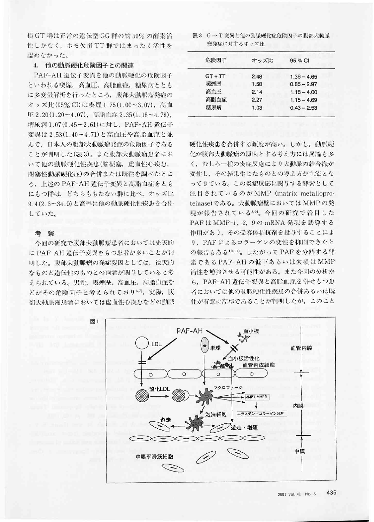損 GT 群は正常の遺伝型 GG 群の約 50% の酵素活 性しかなく、ホモ欠損TT 群ではまったく活性を 認めなかった。

### 4. 他の動脈硬化危険因子との関連

PAF-AH 遺伝子変異を他の動脈硬化の危険因子 といわれる喫煙、高血圧、高脂血症、糖尿病ととも に多変量解析を行ったところ、腹部大動脈瘤発症の オッズ比(95% CI)は喫煙1.75(1.00~3.07), 高血 圧 2.20(1.20~4.07), 高脂血症 2.35(1.18~4.78), 糖尿病 1.07(0.45~2.61)に対し、PAF-AH 遺伝子 変異は2.53(1.40~4.71)と高血圧や高脂血症と並 んで、日本人の腹部大動脈瘤発症の危険因子である ことが判明した(表3)。また腹部大動脈瘤患者にお いて他の動脈硬化性疾患(脳梗塞,虚血性心疾患, 閉塞性動脈硬化症)の合併または既往を調べたとこ ろ、上述の PAF-AH 遺伝子変異と高脂血症をとも にもつ群は、どちらももたない群に比べ、オッズ比 9.4(2.6~34.0)と高率に他の動脈硬化性疾患を合併 していた。

#### 考 察

今回の研究で腹部大動脈瘤患者においては先天的 に PAF-AH 遺伝子変異をもつ患者が多いことが判 明した。腹部大動脈瘤の発症要因としては、後天的 なものと遺伝性のものとの両者が関与していると考 えられている。男性、喫煙歴、高血圧、高脂血症な どがその危険因子と考えられており<sup>6,7)</sup>,実際,腹 部大動脈瘤患者においては虚血性心疾患などの動脈

表3 G→T 変異と他の動脈硬化症危険因子の腹部大動脈 瘤発症に対するオッズ比

| 危険因子      | オッズ比 | 95 % CI       |
|-----------|------|---------------|
| $GT + TT$ | 2.48 | $1.36 - 4.65$ |
| 喫煙歴       | 1.58 | $0.85 - 2.97$ |
| 高血圧       | 2.14 | $1.18 - 4.00$ |
| 高脂血症      | 2.27 | $1.15 - 4.69$ |
| 糖尿病       | 1.03 | $0.43 - 2.53$ |
|           |      |               |

硬化性疾患を合併する頻度が高い。しかし、動脈硬 化が腹部大動脈瘤の原因とする考え方には異論も多 く、むしろ一種の炎症反応により大動脈の結合織が 変性し、その結果生じたものとの考え方が主流とな ってきている。この炎症反応に関与する酵素として 注目されているのが MMP (matrix metalloproteinase)である。大動脈瘤壁においては MMP の発 現が報告されているい。今回の研究で着目した PAF は MMP-1, 2, 9の mRNA 発現を誘導する 作用があり、その受容体拮抗剤を投与することによ り、PAFによるコラーゲンの変性を抑制できたと の報告もある10,11)。したがって PAF を分解する酵 素である PAF-AHの低下あるいは欠損は MMP 活性を増強させる可能性がある。また今回の分析か ら、PAF-AH 遺伝子変異と高脂血症を併せもつ患 者においては他の動脈硬化性疾患の合併あるいは既 往が有意に高率であることが判明したが、このこと

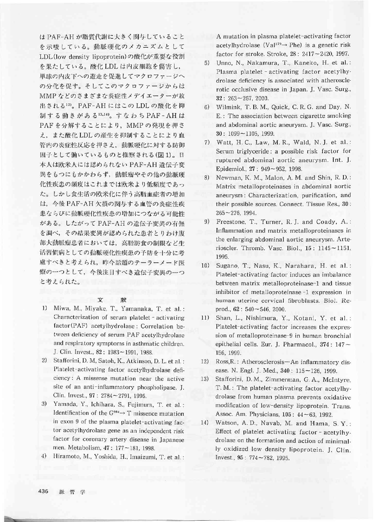は PAF-AH が脂質代謝に大きく関与していること を示唆している。動脈硬化のメカニズムとして LDL(low density lipoprotein)の酸化が重要な役割 を果たしている。酸化 LDL は内皮細胞を傷害し, 単球の内皮下への遊走を促進してマクロファージへ の分化を促す。そしてこのマクロファージからは MMP などのさまざまな炎症性メデイエーターが放 出される12)。PAF-AHにはこのLDLの酸化を抑 制する働きがある<sup>13,14</sup>。すなわち PAF-AH は PAF を分解することにより、MMP の発現を押さ え、また酸化 LDL の産生を抑制することにより血 管内の炎症性反応を押さえ、動脈硬化に対する防御 因子として働いているものと推察される(図1)。日 本人は欧米人には認められない PAF-AH 遺伝子変 異をもつにもかかわらず、動脈瘤やその他の動脈硬 化性疾患の頻度はこれまでは欧米より低頻度であっ た。しかし食生活の欧米化に伴う高脂血症者の増加 は、今後 PAF-AH 欠損の関与する血管の炎症性疾 患ならびに動脈硬化性疾患の増加につながる可能性 がある。したがって PAF-AHの遺伝子変異の有無 を調べ、その結果変異が認められた患者とりわけ腹 部大動脈瘤患者においては、高脂肪食の制限など生 活習慣病としての動脈硬化性疾患の予防を十分に考 慮すべきと考えられ、昨今話題のテーラーメード医 療の一つとして、今後注目すべき遺伝子変異の一つ と考えられた。

#### 文 献

- $1)$ Miwa, M., Miyake, T., Yamanaka, T. et al.: Characterization of serum platelet - activating factor (PAF) acetylhydrolase: Correlation between deficiency of serum PAF acetylhydrolase and respiratory symptoms in asthmatic children. J. Clin. Invest., 82: 1983~1991, 1988.
- 2) Stafforini, D. M, Satoh, K., Atkinson, D. L. et al.: Platelet-activating factor acetylhydrolase deficiency: A missense mutation near the active site of an anti-inflammatory phospholipase. J. Clin. Invest., 97: 2784~2791, 1996.
- 3) Yamada, Y., Ichihara, S., Fujimura, T. et al.: Identification of the  $G<sup>994</sup> \rightarrow T$  missence mutation in exon 9 of the plasma platelet-activating factor acetylhydrolase gene as an independent risk factor for coronary artery disease in Japanese men. Metabolism, 47: 177~181, 1998.
- 4) Hiramoto, M., Yoshida, H., Imaizumi, T. et al.:

A mutation in plasma platelet-activating factor acetylhydrolase (Val<sup>279</sup> $\rightarrow$  Phe) is a genetic risk factor for stroke. Stroke, 28: 2417~2420, 1997.

- Unno, N., Nakamura, T., Kaneko, H. et al.: 5) Plasma platelet - activating factor acetylhydrolase deficiency is associated with atherosclerotic occlusive disease in Japan. J. Vasc. Surg.,  $32: 263 - 267, 2000.$
- 6) Wilmink, T. B. M., Quick, C. R. G. and Day, N. E.: The association between cigarette smoking and abdominal aortic aneurysm. J. Vasc. Surg.,  $30:1099 - 1105, 1999.$
- 7) Watt, H. C., Law, M. R., Wald, N. J. et al.: Serum triglyceride: a possible risk factor for ruptured abdominal aortic aneurysm. Int. J. Epidemiol., 27: 949~952, 1998.
- 8) Newman, K. M., Malon, A. M. and Shin, R. D.: Matrix metalloproteinases in abdominal aortic aneurysm: Characterization, purification, and their possible sources. Connect. Tissue Res., 30:  $265 - 276$ , 1994.
- 9) Freestone, T., Turner, R. J. and Coady, A.: Inflammation and matrix metalloproteinases in the enlarging abdominal aortic aneurysm. Arterioscler. Thromb. Vasc. Biol., 15: 1145~1151, 1995.
- $10)$ Sugano, T., Nasu, K., Narahara, H. et al.: Platelet-activating factor induces an imbalance between matrix metalloproteinase-1 and tissue inhibitor of metalloproteinase -1 expression in human uterine cervical fibroblasts. Biol. Reprod.,  $62:540 \sim 546$ , 2000.
- $11)$ Shan, L., Nishimura, Y., Kotani, Y. et al.: Platelet-activating factor increases the expression of metalloproteinase-9 in human bronchial epithelial cells. Eur. J. Pharmacol., 374: 147 ~ 156, 1999.
- Ross, R.: Atherosclerosis-An inflammatory dis- $12)$ ease. N. Engl. J. Med., 340: 115~126, 1999.
- Stafforini, D.M., Zimmerman, G.A., McIntyre. 13) T. M.: The platelet-activating factor acetylhydrolase from human plasma prevents oxidative modification of low-density lipoprotein. Trans. Assoc. Am. Physicians,  $105: 44 \sim 63$ , 1992.
- 14) Watson, A.D., Navab, M. and Hama, S.Y.: Effect of platelet activating factor - acetylhydrolase on the formation and action of minimally oxidized low density lipoprotein. J. Clin. Invest., 95: 774~782, 1995.